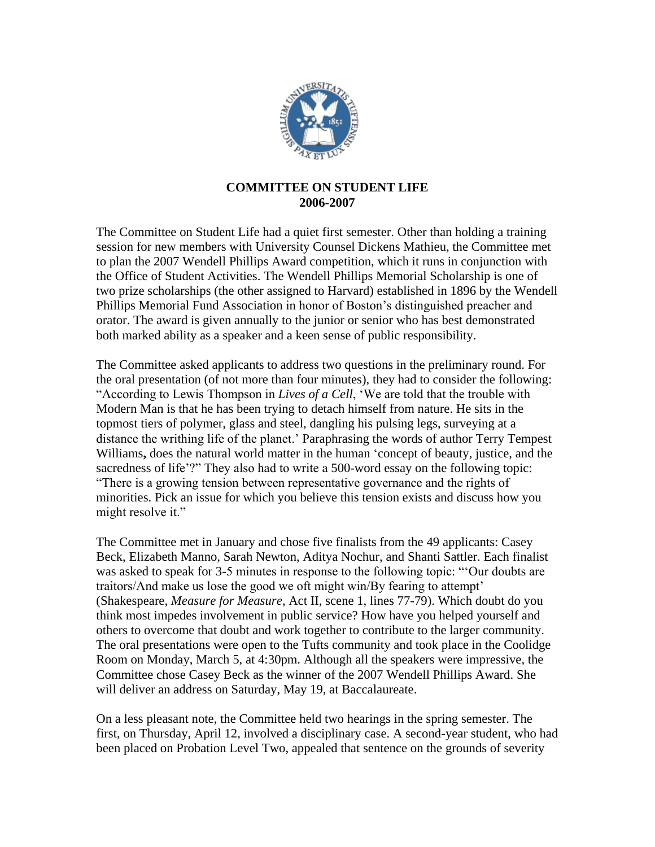

## **COMMITTEE ON STUDENT LIFE 2006-2007**

The Committee on Student Life had a quiet first semester. Other than holding a training session for new members with University Counsel Dickens Mathieu, the Committee met to plan the 2007 Wendell Phillips Award competition, which it runs in conjunction with the Office of Student Activities. The Wendell Phillips Memorial Scholarship is one of two prize scholarships (the other assigned to Harvard) established in 1896 by the Wendell Phillips Memorial Fund Association in honor of Boston's distinguished preacher and orator. The award is given annually to the junior or senior who has best demonstrated both marked ability as a speaker and a keen sense of public responsibility.

The Committee asked applicants to address two questions in the preliminary round. For the oral presentation (of not more than four minutes), they had to consider the following: "According to Lewis Thompson in *Lives of a Cell*, 'We are told that the trouble with Modern Man is that he has been trying to detach himself from nature. He sits in the topmost tiers of polymer, glass and steel, dangling his pulsing legs, surveying at a distance the writhing life of the planet.' Paraphrasing the words of author Terry Tempest Williams**,** does the natural world matter in the human 'concept of beauty, justice, and the sacredness of life'?" They also had to write a 500-word essay on the following topic: "There is a growing tension between representative governance and the rights of minorities. Pick an issue for which you believe this tension exists and discuss how you might resolve it."

The Committee met in January and chose five finalists from the 49 applicants: Casey Beck, Elizabeth Manno, Sarah Newton, Aditya Nochur, and Shanti Sattler. Each finalist was asked to speak for 3-5 minutes in response to the following topic: "'Our doubts are traitors/And make us lose the good we oft might win/By fearing to attempt' (Shakespeare, *Measure for Measure*, Act II, scene 1, lines 77-79). Which doubt do you think most impedes involvement in public service? How have you helped yourself and others to overcome that doubt and work together to contribute to the larger community. The oral presentations were open to the Tufts community and took place in the Coolidge Room on Monday, March 5, at 4:30pm. Although all the speakers were impressive, the Committee chose Casey Beck as the winner of the 2007 Wendell Phillips Award. She will deliver an address on Saturday, May 19, at Baccalaureate.

On a less pleasant note, the Committee held two hearings in the spring semester. The first, on Thursday, April 12, involved a disciplinary case. A second-year student, who had been placed on Probation Level Two, appealed that sentence on the grounds of severity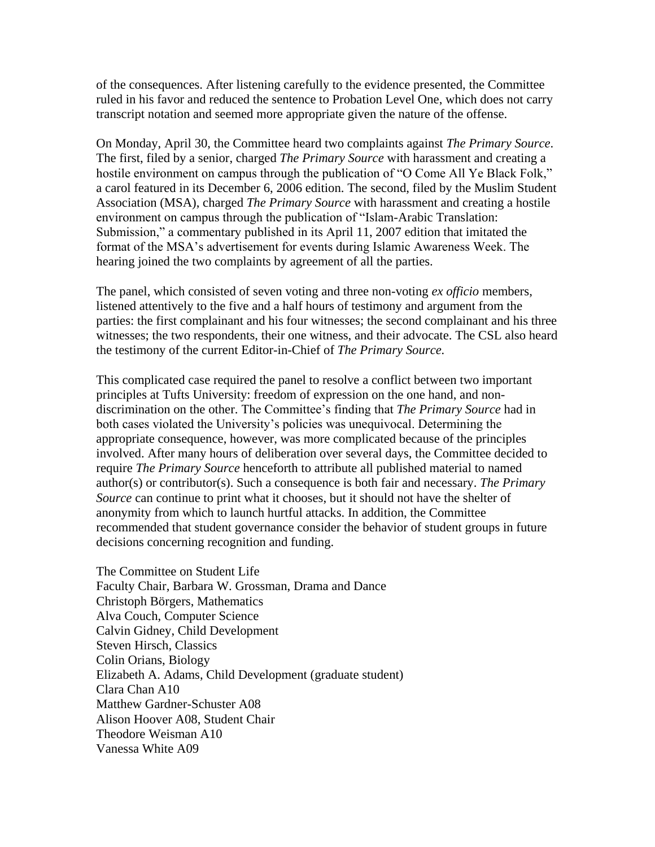of the consequences. After listening carefully to the evidence presented, the Committee ruled in his favor and reduced the sentence to Probation Level One, which does not carry transcript notation and seemed more appropriate given the nature of the offense.

On Monday, April 30, the Committee heard two complaints against *The Primary Source*. The first, filed by a senior, charged *The Primary Source* with harassment and creating a hostile environment on campus through the publication of "O Come All Ye Black Folk," a carol featured in its December 6, 2006 edition. The second, filed by the Muslim Student Association (MSA), charged *The Primary Source* with harassment and creating a hostile environment on campus through the publication of "Islam-Arabic Translation: Submission," a commentary published in its April 11, 2007 edition that imitated the format of the MSA's advertisement for events during Islamic Awareness Week. The hearing joined the two complaints by agreement of all the parties.

The panel, which consisted of seven voting and three non-voting *ex officio* members, listened attentively to the five and a half hours of testimony and argument from the parties: the first complainant and his four witnesses; the second complainant and his three witnesses; the two respondents, their one witness, and their advocate. The CSL also heard the testimony of the current Editor-in-Chief of *The Primary Source.*

This complicated case required the panel to resolve a conflict between two important principles at Tufts University: freedom of expression on the one hand, and nondiscrimination on the other. The Committee's finding that *The Primary Source* had in both cases violated the University's policies was unequivocal. Determining the appropriate consequence, however, was more complicated because of the principles involved. After many hours of deliberation over several days, the Committee decided to require *The Primary Source* henceforth to attribute all published material to named author(s) or contributor(s). Such a consequence is both fair and necessary. *The Primary Source* can continue to print what it chooses, but it should not have the shelter of anonymity from which to launch hurtful attacks. In addition, the Committee recommended that student governance consider the behavior of student groups in future decisions concerning recognition and funding.

The Committee on Student Life Faculty Chair, Barbara W. Grossman, Drama and Dance Christoph Börgers, Mathematics Alva Couch, Computer Science Calvin Gidney, Child Development Steven Hirsch, Classics Colin Orians, Biology Elizabeth A. Adams, Child Development (graduate student) Clara Chan A10 Matthew Gardner-Schuster A08 Alison Hoover A08, Student Chair Theodore Weisman A10 Vanessa White A09